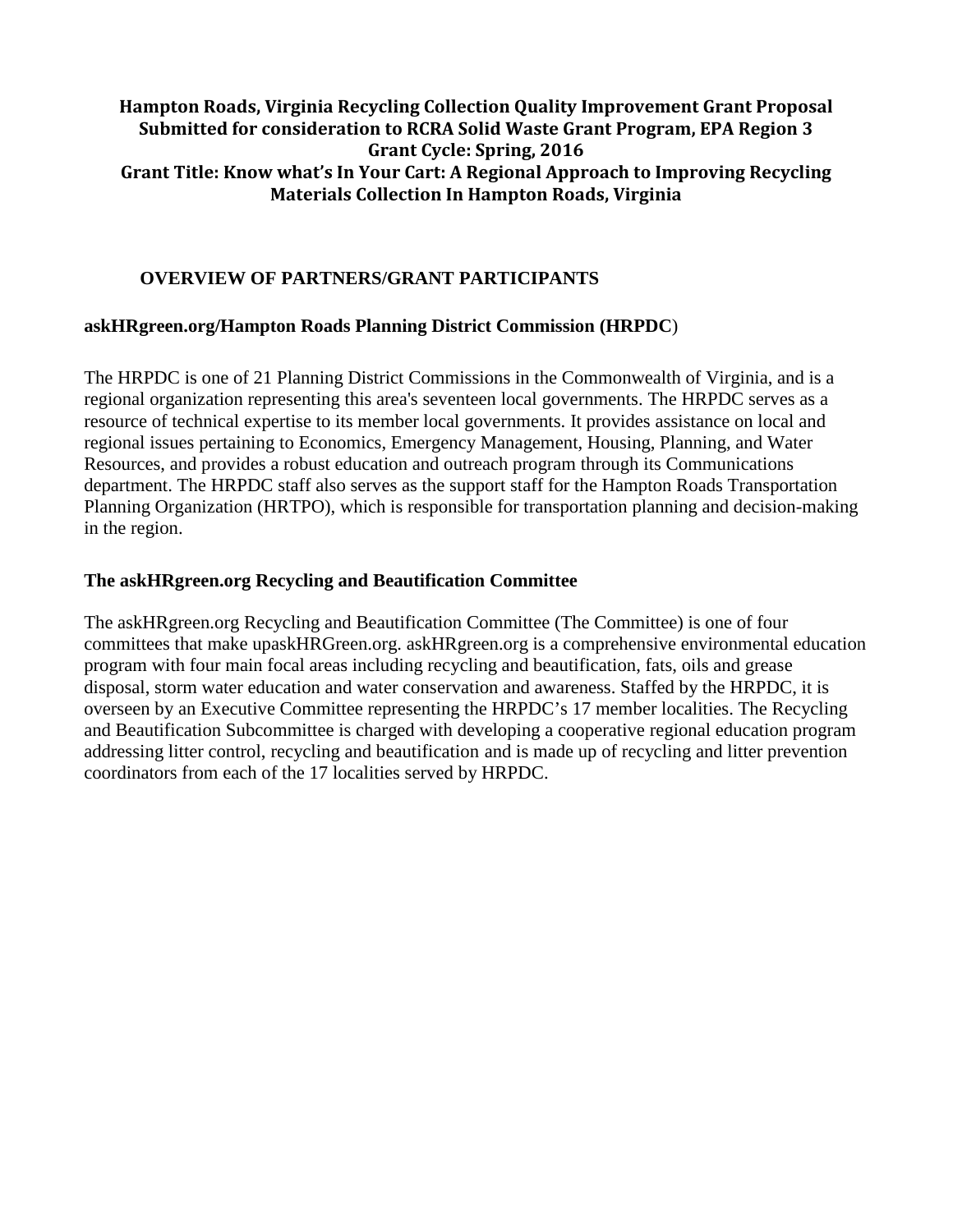# **Hampton Roads, Virginia Recycling Collection Quality Improvement Grant Proposal Submitted for consideration to RCRA Solid Waste Grant Program, EPA Region 3 Grant Cycle: Spring, 2016 Grant Title: Know what's In Your Cart: A Regional Approach to Improving Recycling Materials Collection In Hampton Roads, Virginia**

## **OVERVIEW OF PARTNERS/GRANT PARTICIPANTS**

## **askHRgreen.org/Hampton Roads Planning District Commission (HRPDC**)

The HRPDC is one of 21 Planning District Commissions in the Commonwealth of Virginia, and is a regional organization representing this area's seventeen local governments. The HRPDC serves as a resource of technical expertise to its member local governments. It provides assistance on local and regional issues pertaining to [Economics,](http://www.hrpdc.org/departments/economics/) [Emergency Management,](http://www.hrpdc.org/departments/emergency-management/) [Housing,](http://www.hrpdc.org/departments/housing/) [Planning,](http://www.hrpdc.org/departments/planning/) and [Water](http://www.hrpdc.org/departments/water-resources/)  [Resources,](http://www.hrpdc.org/departments/water-resources/) and provides a robust education and outreach program through its [Communications](http://www.hrpdc.org/departments/communications/) department. The HRPDC staff also serves as the support staff for the [Hampton Roads Transportation](http://www.hrtpo.org/)  [Planning Organization \(HRTPO\),](http://www.hrtpo.org/) which is responsible for transportation planning and decision-making in the region.

## **The askHRgreen.org Recycling and Beautification Committee**

The askHRgreen.org Recycling and Beautification Committee (The Committee) is one of four committees that make upaskHRGreen.org. askHRgreen.org is a comprehensive environmental education program with four main focal areas including recycling and beautification, fats, oils and grease disposal, storm water education and water conservation and awareness. Staffed by the HRPDC, it is overseen by an Executive Committee representing the HRPDC's 17 member localities. The Recycling and Beautification Subcommittee is charged with developing a cooperative regional education program addressing litter control, recycling and beautification and is made up of recycling and litter prevention coordinators from each of the 17 localities served by HRPDC.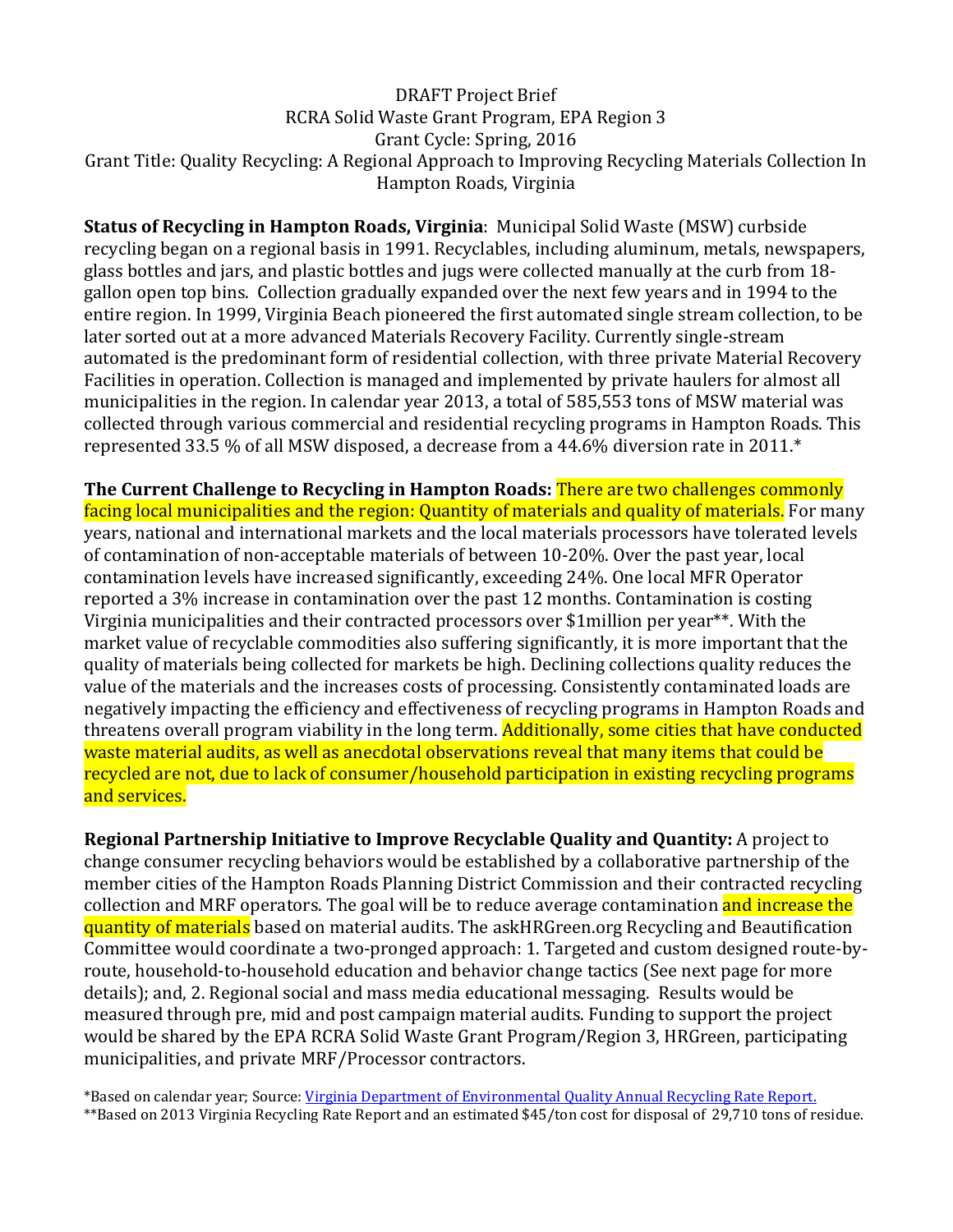# DRAFT Project Brief RCRA Solid Waste Grant Program, EPA Region 3 Grant Cycle: Spring, 2016 Grant Title: Quality Recycling: A Regional Approach to Improving Recycling Materials Collection In Hampton Roads, Virginia

**Status of Recycling in Hampton Roads, Virginia**: Municipal Solid Waste (MSW) curbside recycling began on a regional basis in 1991. Recyclables, including aluminum, metals, newspapers, glass bottles and jars, and plastic bottles and jugs were collected manually at the curb from 18 gallon open top bins. Collection gradually expanded over the next few years and in 1994 to the entire region. In 1999, Virginia Beach pioneered the first automated single stream collection, to be later sorted out at a more advanced Materials Recovery Facility. Currently single-stream automated is the predominant form of residential collection, with three private Material Recovery Facilities in operation. Collection is managed and implemented by private haulers for almost all municipalities in the region. In calendar year 2013, a total of 585,553 tons of MSW material was collected through various commercial and residential recycling programs in Hampton Roads. This represented 33.5 % of all MSW disposed, a decrease from a 44.6% diversion rate in 2011.\*

**The Current Challenge to Recycling in Hampton Roads:** There are two challenges commonly facing local municipalities and the region: Quantity of materials and quality of materials. For many years, national and international markets and the local materials processors have tolerated levels of contamination of non-acceptable materials of between 10-20%. Over the past year, local contamination levels have increased significantly, exceeding 24%. One local MFR Operator reported a 3% increase in contamination over the past 12 months. Contamination is costing Virginia municipalities and their contracted processors over \$1million per year\*\*. With the market value of recyclable commodities also suffering significantly, it is more important that the quality of materials being collected for markets be high. Declining collections quality reduces the value of the materials and the increases costs of processing. Consistently contaminated loads are negatively impacting the efficiency and effectiveness of recycling programs in Hampton Roads and threatens overall program viability in the long term. Additionally, some cities that have conducted waste material audits, as well as anecdotal observations reveal that many items that could be recycled are not, due to lack of consumer/household participation in existing recycling programs and services.

**Regional Partnership Initiative to Improve Recyclable Quality and Quantity:** A project to change consumer recycling behaviors would be established by a collaborative partnership of the member cities of the Hampton Roads Planning District Commission and their contracted recycling collection and MRF operators. The goal will be to reduce average contamination and increase the quantity of materials based on material audits. The askHRGreen.org Recycling and Beautification Committee would coordinate a two-pronged approach: 1. Targeted and custom designed route-byroute, household-to-household education and behavior change tactics (See next page for more details); and, 2. Regional social and mass media educational messaging. Results would be measured through pre, mid and post campaign material audits. Funding to support the project would be shared by the EPA RCRA Solid Waste Grant Program/Region 3, HRGreen, participating municipalities, and private MRF/Processor contractors.

\*Based on calendar year; Source[: Virginia Department of Environmental Quality Annual Recycling Rate Report.](http://www.deq.virginia.gov/Portals/0/DEQ/Land/RecyclingPrograms/2013%20recycling%20rate%20report%20Final.pdf) \*\*Based on 2013 Virginia Recycling Rate Report and an estimated \$45/ton cost for disposal of 29,710 tons of residue.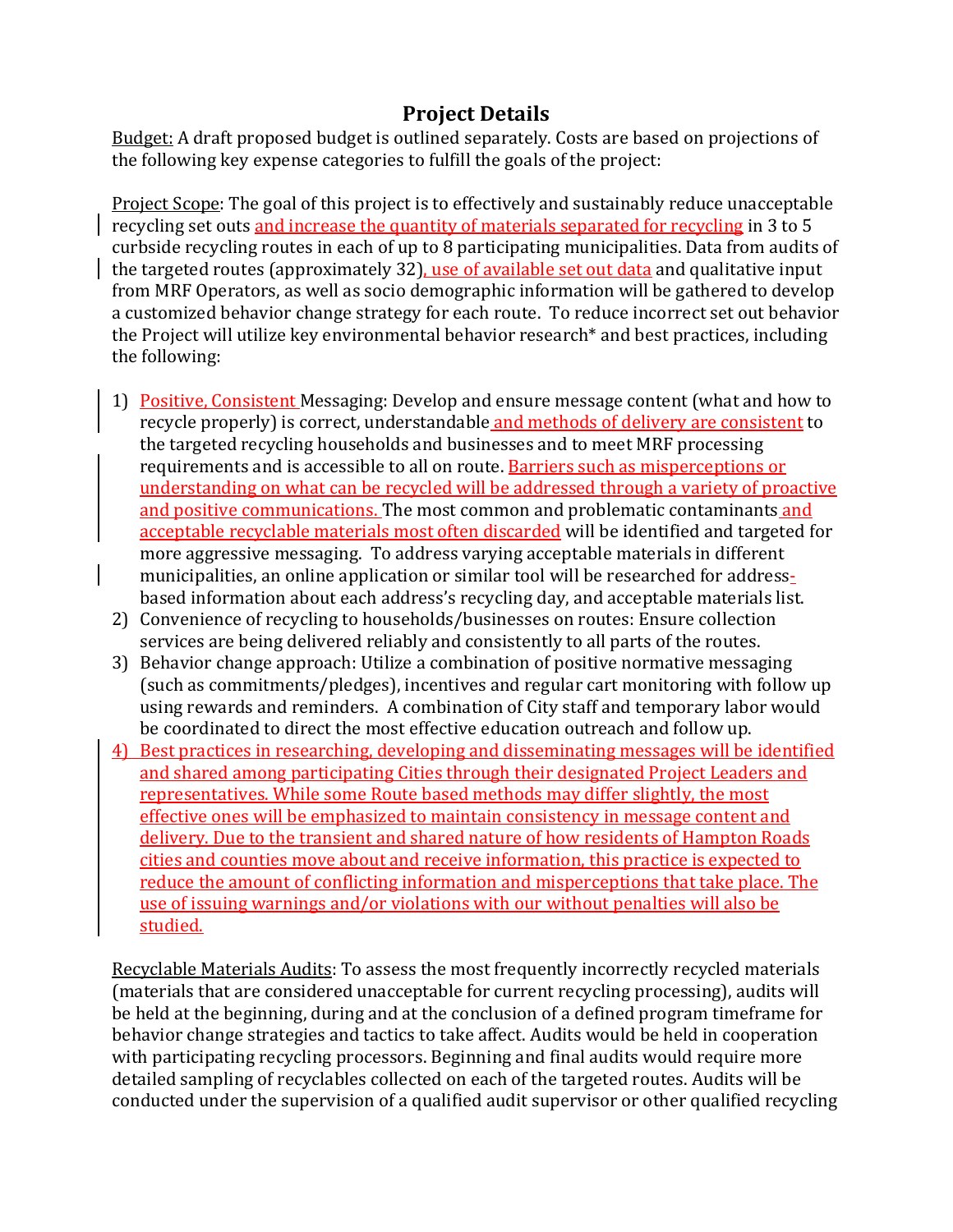# **Project Details**

Budget: A draft proposed budget is outlined separately. Costs are based on projections of the following key expense categories to fulfill the goals of the project:

Project Scope: The goal of this project is to effectively and sustainably reduce unacceptable recycling set outs and increase the quantity of materials separated for recycling in 3 to 5 curbside recycling routes in each of up to 8 participating municipalities. Data from audits of the targeted routes (approximately 32), use of available set out data and qualitative input from MRF Operators, as well as socio demographic information will be gathered to develop a customized behavior change strategy for each route. To reduce incorrect set out behavior the Project will utilize key environmental behavior research\* and best practices, including the following:

- 1) Positive, Consistent Messaging: Develop and ensure message content (what and how to recycle properly) is correct, understandable and methods of delivery are consistent to the targeted recycling households and businesses and to meet MRF processing requirements and is accessible to all on route. Barriers such as misperceptions or understanding on what can be recycled will be addressed through a variety of proactive and positive communications. The most common and problematic contaminants and acceptable recyclable materials most often discarded will be identified and targeted for more aggressive messaging. To address varying acceptable materials in different municipalities, an online application or similar tool will be researched for addressbased information about each address's recycling day, and acceptable materials list.
- 2) Convenience of recycling to households/businesses on routes: Ensure collection services are being delivered reliably and consistently to all parts of the routes.
- 3) Behavior change approach: Utilize a combination of positive normative messaging (such as commitments/pledges), incentives and regular cart monitoring with follow up using rewards and reminders. A combination of City staff and temporary labor would be coordinated to direct the most effective education outreach and follow up.
- 4) Best practices in researching, developing and disseminating messages will be identified and shared among participating Cities through their designated Project Leaders and representatives. While some Route based methods may differ slightly, the most effective ones will be emphasized to maintain consistency in message content and delivery. Due to the transient and shared nature of how residents of Hampton Roads cities and counties move about and receive information, this practice is expected to reduce the amount of conflicting information and misperceptions that take place. The use of issuing warnings and/or violations with our without penalties will also be studied.

Recyclable Materials Audits: To assess the most frequently incorrectly recycled materials (materials that are considered unacceptable for current recycling processing), audits will be held at the beginning, during and at the conclusion of a defined program timeframe for behavior change strategies and tactics to take affect. Audits would be held in cooperation with participating recycling processors. Beginning and final audits would require more detailed sampling of recyclables collected on each of the targeted routes. Audits will be conducted under the supervision of a qualified audit supervisor or other qualified recycling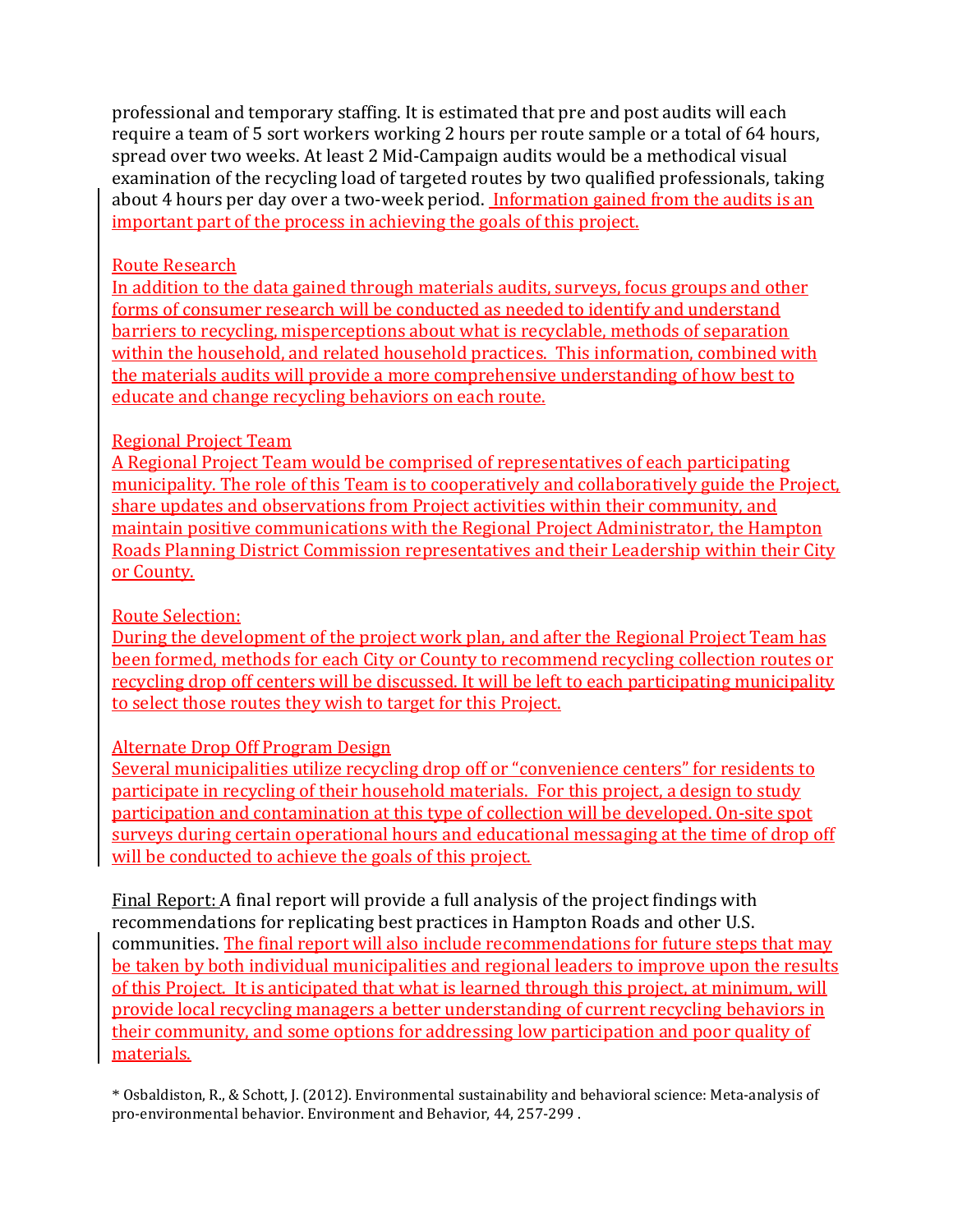professional and temporary staffing. It is estimated that pre and post audits will each require a team of 5 sort workers working 2 hours per route sample or a total of 64 hours, spread over two weeks. At least 2 Mid-Campaign audits would be a methodical visual examination of the recycling load of targeted routes by two qualified professionals, taking about 4 hours per day over a two-week period. Information gained from the audits is an important part of the process in achieving the goals of this project.

## Route Research

In addition to the data gained through materials audits, surveys, focus groups and other forms of consumer research will be conducted as needed to identify and understand barriers to recycling, misperceptions about what is recyclable, methods of separation within the household, and related household practices. This information, combined with the materials audits will provide a more comprehensive understanding of how best to educate and change recycling behaviors on each route.

## Regional Project Team

A Regional Project Team would be comprised of representatives of each participating municipality. The role of this Team is to cooperatively and collaboratively guide the Project, share updates and observations from Project activities within their community, and maintain positive communications with the Regional Project Administrator, the Hampton Roads Planning District Commission representatives and their Leadership within their City or County.

# Route Selection:

During the development of the project work plan, and after the Regional Project Team has been formed, methods for each City or County to recommend recycling collection routes or recycling drop off centers will be discussed. It will be left to each participating municipality to select those routes they wish to target for this Project.

# Alternate Drop Off Program Design

Several municipalities utilize recycling drop off or "convenience centers" for residents to participate in recycling of their household materials. For this project, a design to study participation and contamination at this type of collection will be developed. On-site spot surveys during certain operational hours and educational messaging at the time of drop off will be conducted to achieve the goals of this project.

Final Report: A final report will provide a full analysis of the project findings with recommendations for replicating best practices in Hampton Roads and other U.S. communities. The final report will also include recommendations for future steps that may be taken by both individual municipalities and regional leaders to improve upon the results of this Project. It is anticipated that what is learned through this project, at minimum, will provide local recycling managers a better understanding of current recycling behaviors in their community, and some options for addressing low participation and poor quality of materials.

\* Osbaldiston, R., & Schott, J. (2012). Environmental sustainability and behavioral science: Meta-analysis of pro-environmental behavior. Environment and Behavior, 44, 257-299 .